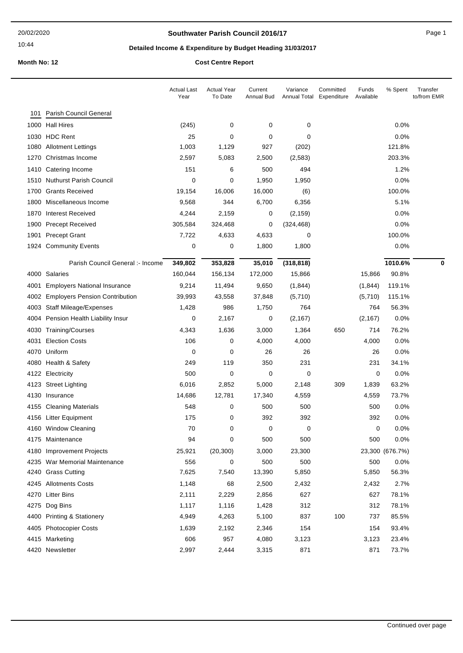### **Southwater Parish Council 2016/17** Page 1

# **Detailed Income & Expenditure by Budget Heading 31/03/2017**

|      |                                       | <b>Actual Last</b><br>Year | <b>Actual Year</b><br>To Date | Current<br>Annual Bud | Variance<br>Annual Total | Committed<br>Expenditure | Funds<br>Available | % Spent         | Transfer<br>to/from EMR |
|------|---------------------------------------|----------------------------|-------------------------------|-----------------------|--------------------------|--------------------------|--------------------|-----------------|-------------------------|
| 101  | Parish Council General                |                            |                               |                       |                          |                          |                    |                 |                         |
|      | 1000 Hall Hires                       | (245)                      | 0                             | 0                     | 0                        |                          |                    | $0.0\%$         |                         |
|      | 1030 HDC Rent                         | 25                         | 0                             | 0                     | 0                        |                          |                    | 0.0%            |                         |
|      | 1080 Allotment Lettings               | 1,003                      | 1,129                         | 927                   | (202)                    |                          |                    | 121.8%          |                         |
| 1270 | Christmas Income                      | 2,597                      | 5,083                         | 2,500                 | (2, 583)                 |                          |                    | 203.3%          |                         |
| 1410 | Catering Income                       | 151                        | 6                             | 500                   | 494                      |                          |                    | 1.2%            |                         |
| 1510 | <b>Nuthurst Parish Council</b>        | 0                          | 0                             | 1,950                 | 1,950                    |                          |                    | 0.0%            |                         |
|      | 1700 Grants Received                  | 19,154                     | 16,006                        | 16,000                | (6)                      |                          |                    | 100.0%          |                         |
| 1800 | Miscellaneous Income                  | 9,568                      | 344                           | 6,700                 | 6,356                    |                          |                    | 5.1%            |                         |
| 1870 | <b>Interest Received</b>              | 4,244                      | 2,159                         | 0                     | (2, 159)                 |                          |                    | 0.0%            |                         |
| 1900 | <b>Precept Received</b>               | 305,584                    | 324,468                       | 0                     | (324, 468)               |                          |                    | 0.0%            |                         |
| 1901 | <b>Precept Grant</b>                  | 7,722                      | 4,633                         | 4,633                 | 0                        |                          |                    | 100.0%          |                         |
|      | 1924 Community Events                 | 0                          | 0                             | 1,800                 | 1,800                    |                          |                    | 0.0%            |                         |
|      | Parish Council General :- Income      | 349,802                    | 353,828                       | 35,010                | (318, 818)               |                          |                    | 1010.6%         | 0                       |
|      | 4000 Salaries                         | 160,044                    | 156,134                       | 172,000               | 15,866                   |                          | 15,866             | 90.8%           |                         |
| 4001 | <b>Employers National Insurance</b>   | 9,214                      | 11,494                        | 9,650                 | (1,844)                  |                          | (1,844)            | 119.1%          |                         |
| 4002 | <b>Employers Pension Contribution</b> | 39,993                     | 43,558                        | 37,848                | (5,710)                  |                          | (5,710)            | 115.1%          |                         |
|      | 4003 Staff Mileage/Expenses           | 1,428                      | 986                           | 1,750                 | 764                      |                          | 764                | 56.3%           |                         |
| 4004 | Pension Health Liability Insur        | 0                          | 2,167                         | 0                     | (2, 167)                 |                          | (2, 167)           | 0.0%            |                         |
|      | 4030 Training/Courses                 | 4,343                      | 1,636                         | 3,000                 | 1,364                    | 650                      | 714                | 76.2%           |                         |
| 4031 | <b>Election Costs</b>                 | 106                        | 0                             | 4,000                 | 4,000                    |                          | 4,000              | 0.0%            |                         |
| 4070 | Uniform                               | 0                          | 0                             | 26                    | 26                       |                          | 26                 | 0.0%            |                         |
|      | 4080 Health & Safety                  | 249                        | 119                           | 350                   | 231                      |                          | 231                | 34.1%           |                         |
|      | 4122 Electricity                      | 500                        | 0                             | 0                     | 0                        |                          | 0                  | 0.0%            |                         |
|      | 4123 Street Lighting                  | 6,016                      | 2,852                         | 5,000                 | 2,148                    | 309                      | 1,839              | 63.2%           |                         |
|      | 4130 Insurance                        | 14,686                     | 12,781                        | 17,340                | 4,559                    |                          | 4,559              | 73.7%           |                         |
|      | 4155 Cleaning Materials               | 548                        | 0                             | 500                   | 500                      |                          | 500                | 0.0%            |                         |
|      | 4156 Litter Equipment                 | 175                        | 0                             | 392                   | 392                      |                          | 392                | 0.0%            |                         |
|      | 4160 Window Cleaning                  | 70                         | 0                             | 0                     | 0                        |                          | 0                  | 0.0%            |                         |
|      | 4175 Maintenance                      | 94                         | 0                             | 500                   | 500                      |                          | 500                | $0.0\%$         |                         |
|      | 4180 Improvement Projects             | 25,921                     | (20, 300)                     | 3,000                 | 23,300                   |                          |                    | 23,300 (676.7%) |                         |
|      | 4235 War Memorial Maintenance         | 556                        | 0                             | 500                   | 500                      |                          | 500                | 0.0%            |                         |
|      | 4240 Grass Cutting                    | 7,625                      | 7,540                         | 13,390                | 5,850                    |                          | 5,850              | 56.3%           |                         |
|      | 4245 Allotments Costs                 | 1,148                      | 68                            | 2,500                 | 2,432                    |                          | 2,432              | 2.7%            |                         |
|      | 4270 Litter Bins                      | 2,111                      | 2,229                         | 2,856                 | 627                      |                          | 627                | 78.1%           |                         |
|      | 4275 Dog Bins                         | 1,117                      | 1,116                         | 1,428                 | 312                      |                          | 312                | 78.1%           |                         |
|      | 4400 Printing & Stationery            | 4,949                      | 4,263                         | 5,100                 | 837                      | 100                      | 737                | 85.5%           |                         |
|      | 4405 Photocopier Costs                | 1,639                      | 2,192                         | 2,346                 | 154                      |                          | 154                | 93.4%           |                         |
|      | 4415 Marketing                        | 606                        | 957                           | 4,080                 | 3,123                    |                          | 3,123              | 23.4%           |                         |
|      | 4420 Newsletter                       | 2,997                      | 2,444                         | 3,315                 | 871                      |                          | 871                | 73.7%           |                         |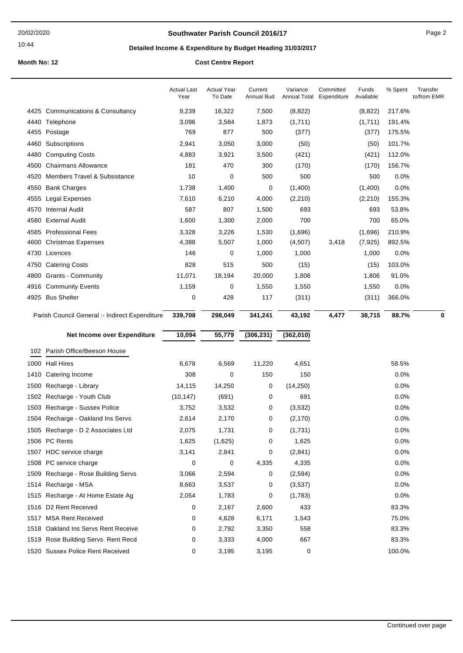### **Southwater Parish Council 2016/17** Page 2

## **Detailed Income & Expenditure by Budget Heading 31/03/2017**

|      |                                                | <b>Actual Last</b><br>Year | <b>Actual Year</b><br>To Date | Current<br>Annual Bud | Variance<br>Annual Total | Committed<br>Expenditure | Funds<br>Available | % Spent | Transfer<br>to/from EMR |
|------|------------------------------------------------|----------------------------|-------------------------------|-----------------------|--------------------------|--------------------------|--------------------|---------|-------------------------|
|      | 4425 Communications & Consultancy              | 9,239                      | 16,322                        | 7,500                 | (8,822)                  |                          | (8,822)            | 217.6%  |                         |
|      | 4440 Telephone                                 | 3,096                      | 3,584                         | 1,873                 | (1,711)                  |                          | (1,711)            | 191.4%  |                         |
|      | 4455 Postage                                   | 769                        | 877                           | 500                   | (377)                    |                          | (377)              | 175.5%  |                         |
| 4460 | Subscriptions                                  | 2,941                      | 3,050                         | 3,000                 | (50)                     |                          | (50)               | 101.7%  |                         |
| 4480 | <b>Computing Costs</b>                         | 4,883                      | 3,921                         | 3,500                 | (421)                    |                          | (421)              | 112.0%  |                         |
|      | 4500 Chairmans Allowance                       | 181                        | 470                           | 300                   | (170)                    |                          | (170)              | 156.7%  |                         |
| 4520 | Members Travel & Subsistance                   | 10                         | 0                             | 500                   | 500                      |                          | 500                | 0.0%    |                         |
|      | 4550 Bank Charges                              | 1,738                      | 1,400                         | 0                     | (1,400)                  |                          | (1,400)            | 0.0%    |                         |
| 4555 | Legal Expenses                                 | 7,610                      | 6,210                         | 4,000                 | (2, 210)                 |                          | (2, 210)           | 155.3%  |                         |
| 4570 | <b>Internal Audit</b>                          | 587                        | 807                           | 1,500                 | 693                      |                          | 693                | 53.8%   |                         |
|      | 4580 External Audit                            | 1,600                      | 1,300                         | 2,000                 | 700                      |                          | 700                | 65.0%   |                         |
|      | 4585 Professional Fees                         | 3,328                      | 3,226                         | 1,530                 | (1,696)                  |                          | (1,696)            | 210.9%  |                         |
|      | 4600 Christmas Expenses                        | 4,388                      | 5,507                         | 1,000                 | (4,507)                  | 3,418                    | (7, 925)           | 892.5%  |                         |
|      | 4730 Licences                                  | 146                        | 0                             | 1,000                 | 1,000                    |                          | 1,000              | 0.0%    |                         |
|      | 4750 Catering Costs                            | 828                        | 515                           | 500                   | (15)                     |                          | (15)               | 103.0%  |                         |
|      | 4800 Grants - Community                        | 11,071                     | 18,194                        | 20,000                | 1,806                    |                          | 1,806              | 91.0%   |                         |
|      | 4916 Community Events                          | 1,159                      | 0                             | 1,550                 | 1,550                    |                          | 1,550              | 0.0%    |                         |
|      | 4925 Bus Shelter                               | 0                          | 428                           | 117                   | (311)                    |                          | (311)              | 366.0%  |                         |
|      | Parish Council General :- Indirect Expenditure | 339,708                    | 298,049                       | 341,241               | 43,192                   | 4,477                    | 38,715             | 88.7%   | 0                       |
|      |                                                |                            |                               |                       |                          |                          |                    |         |                         |
|      | Net Income over Expenditure                    | 10,094                     | 55,779                        | (306, 231)            | (362,010)                |                          |                    |         |                         |
|      | 102 Parish Office/Beeson House                 |                            |                               |                       |                          |                          |                    |         |                         |
|      | 1000 Hall Hires                                | 6,678                      | 6,569                         | 11,220                | 4,651                    |                          |                    | 58.5%   |                         |
|      | 1410 Catering Income                           | 308                        | 0                             | 150                   | 150                      |                          |                    | 0.0%    |                         |
| 1500 | Recharge - Library                             | 14,115                     | 14,250                        | 0                     | (14,250)                 |                          |                    | 0.0%    |                         |
|      | 1502 Recharge - Youth Club                     | (10, 147)                  | (691)                         | 0                     | 691                      |                          |                    | 0.0%    |                         |
|      | 1503 Recharge - Sussex Police                  | 3,752                      | 3,532                         | 0                     | (3,532)                  |                          |                    | 0.0%    |                         |
|      | 1504 Recharge - Oakland Ins Servs              | 2,614                      | 2,170                         | 0                     | (2, 170)                 |                          |                    | 0.0%    |                         |
|      | 1505 Recharge - D 2 Associates Ltd             | 2,075                      | 1,731                         | 0                     | (1,731)                  |                          |                    | 0.0%    |                         |
|      | 1506 PC Rents                                  | 1,625                      | (1,625)                       | 0                     | 1,625                    |                          |                    | 0.0%    |                         |
|      | 1507 HDC service charge                        | 3,141                      | 2,841                         | 0                     | (2,841)                  |                          |                    | 0.0%    |                         |
|      | 1508 PC service charge                         | 0                          | 0                             | 4,335                 | 4,335                    |                          |                    | 0.0%    |                         |
|      | 1509 Recharge - Rose Building Servs            | 3,066                      | 2,594                         | 0                     | (2,594)                  |                          |                    | 0.0%    |                         |
|      | 1514 Recharge - MSA                            | 8,663                      | 3,537                         | 0                     | (3,537)                  |                          |                    | $0.0\%$ |                         |
|      | 1515 Recharge - At Home Estate Ag              | 2,054                      | 1,783                         | 0                     | (1,783)                  |                          |                    | 0.0%    |                         |
|      | 1516 D2 Rent Received                          | 0                          | 2,167                         | 2,600                 | 433                      |                          |                    | 83.3%   |                         |
|      | 1517 MSA Rent Received                         | 0                          | 4,628                         | 6,171                 | 1,543                    |                          |                    | 75.0%   |                         |
|      | 1518 Oakland Ins Servs Rent Receive            | 0                          | 2,792                         | 3,350                 | 558                      |                          |                    | 83.3%   |                         |
|      | 1519 Rose Building Servs Rent Recd             | 0                          | 3,333                         | 4,000                 | 667                      |                          |                    | 83.3%   |                         |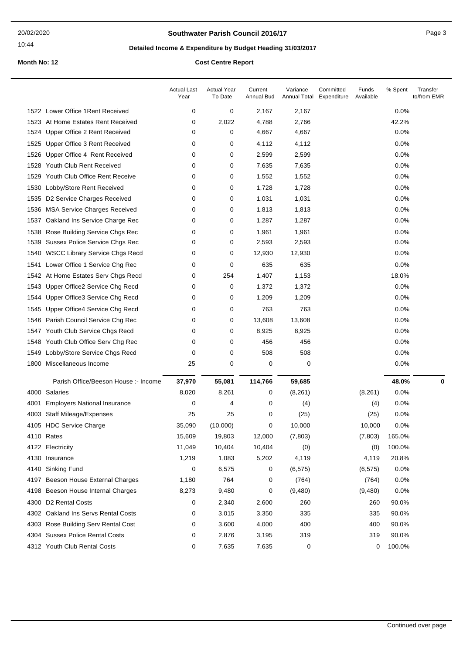### **Southwater Parish Council 2016/17** Page 3

## **Detailed Income & Expenditure by Budget Heading 31/03/2017**

|      |                                       | <b>Actual Last</b><br>Year | <b>Actual Year</b><br>To Date | Current<br>Annual Bud | Variance<br>Annual Total | Committed<br>Expenditure | Funds<br>Available | % Spent | Transfer<br>to/from EMR |
|------|---------------------------------------|----------------------------|-------------------------------|-----------------------|--------------------------|--------------------------|--------------------|---------|-------------------------|
|      | 1522 Lower Office 1 Rent Received     | 0                          | 0                             | 2,167                 | 2,167                    |                          |                    | 0.0%    |                         |
|      | 1523 At Home Estates Rent Received    | 0                          | 2,022                         | 4,788                 | 2,766                    |                          |                    | 42.2%   |                         |
| 1524 | Upper Office 2 Rent Received          | 0                          | 0                             | 4,667                 | 4,667                    |                          |                    | 0.0%    |                         |
| 1525 | Upper Office 3 Rent Received          | 0                          | 0                             | 4,112                 | 4,112                    |                          |                    | 0.0%    |                         |
| 1526 | Upper Office 4 Rent Received          | 0                          | 0                             | 2,599                 | 2,599                    |                          |                    | 0.0%    |                         |
|      | 1528 Youth Club Rent Received         | 0                          | 0                             | 7,635                 | 7,635                    |                          |                    | 0.0%    |                         |
| 1529 | Youth Club Office Rent Receive        | 0                          | 0                             | 1,552                 | 1,552                    |                          |                    | 0.0%    |                         |
| 1530 | Lobby/Store Rent Received             | 0                          | 0                             | 1,728                 | 1,728                    |                          |                    | 0.0%    |                         |
| 1535 | D2 Service Charges Received           | 0                          | 0                             | 1,031                 | 1,031                    |                          |                    | 0.0%    |                         |
| 1536 | <b>MSA Service Charges Received</b>   | 0                          | 0                             | 1,813                 | 1,813                    |                          |                    | 0.0%    |                         |
| 1537 | Oakland Ins Service Charge Rec        | 0                          | 0                             | 1,287                 | 1,287                    |                          |                    | 0.0%    |                         |
| 1538 | Rose Building Service Chgs Rec        | 0                          | 0                             | 1,961                 | 1,961                    |                          |                    | 0.0%    |                         |
| 1539 | Sussex Police Service Chgs Rec        | 0                          | 0                             | 2,593                 | 2,593                    |                          |                    | 0.0%    |                         |
| 1540 | <b>WSCC Library Service Chgs Recd</b> | 0                          | 0                             | 12,930                | 12,930                   |                          |                    | 0.0%    |                         |
| 1541 | Lower Office 1 Service Chg Rec        | 0                          | 0                             | 635                   | 635                      |                          |                    | 0.0%    |                         |
|      | 1542 At Home Estates Serv Chgs Recd   | 0                          | 254                           | 1,407                 | 1,153                    |                          |                    | 18.0%   |                         |
| 1543 | Upper Office2 Service Chg Recd        | 0                          | 0                             | 1,372                 | 1,372                    |                          |                    | 0.0%    |                         |
| 1544 | Upper Office3 Service Chg Recd        | 0                          | 0                             | 1,209                 | 1,209                    |                          |                    | 0.0%    |                         |
| 1545 | Upper Office4 Service Chg Recd        | 0                          | 0                             | 763                   | 763                      |                          |                    | 0.0%    |                         |
| 1546 | Parish Council Service Chg Rec        | 0                          | 0                             | 13,608                | 13,608                   |                          |                    | 0.0%    |                         |
| 1547 | Youth Club Service Chgs Recd          | 0                          | 0                             | 8,925                 | 8,925                    |                          |                    | 0.0%    |                         |
|      | 1548 Youth Club Office Serv Chg Rec   | 0                          | 0                             | 456                   | 456                      |                          |                    | 0.0%    |                         |
| 1549 | Lobby/Store Service Chgs Recd         | 0                          | 0                             | 508                   | 508                      |                          |                    | 0.0%    |                         |
|      | 1800 Miscellaneous Income             | 25                         | 0                             | 0                     | 0                        |                          |                    | 0.0%    |                         |
|      | Parish Office/Beeson House :- Income  | 37,970                     | 55,081                        | 114,766               | 59,685                   |                          |                    | 48.0%   | 0                       |
|      | 4000 Salaries                         | 8,020                      | 8,261                         | 0                     | (8, 261)                 |                          | (8,261)            | 0.0%    |                         |
| 4001 | <b>Employers National Insurance</b>   | 0                          | 4                             | 0                     | (4)                      |                          | (4)                | 0.0%    |                         |
| 4003 | <b>Staff Mileage/Expenses</b>         | 25                         | 25                            | 0                     | (25)                     |                          | (25)               | 0.0%    |                         |
|      | 4105 HDC Service Charge               | 35,090                     | (10,000)                      | 0                     | 10,000                   |                          | 10,000             | 0.0%    |                         |
|      | 4110 Rates                            | 15,609                     | 19,803                        | 12,000                | (7, 803)                 |                          | (7,803)            | 165.0%  |                         |
|      | 4122 Electricity                      | 11,049                     | 10,404                        | 10,404                | (0)                      |                          | (0)                | 100.0%  |                         |
|      | 4130 Insurance                        | 1,219                      | 1,083                         | 5,202                 | 4,119                    |                          | 4,119              | 20.8%   |                         |
| 4140 | Sinking Fund                          | 0                          | 6,575                         | 0                     | (6, 575)                 |                          | (6, 575)           | 0.0%    |                         |
| 4197 | Beeson House External Charges         | 1,180                      | 764                           | 0                     | (764)                    |                          | (764)              | 0.0%    |                         |
|      | 4198 Beeson House Internal Charges    | 8,273                      | 9,480                         | 0                     | (9,480)                  |                          | (9,480)            | 0.0%    |                         |
| 4300 | <b>D2 Rental Costs</b>                | 0                          | 2,340                         | 2,600                 | 260                      |                          | 260                | 90.0%   |                         |
|      | 4302 Oakland Ins Servs Rental Costs   | 0                          | 3,015                         | 3,350                 | 335                      |                          | 335                | 90.0%   |                         |
|      | 4303 Rose Building Serv Rental Cost   | 0                          | 3,600                         | 4,000                 | 400                      |                          | 400                | 90.0%   |                         |
|      | 4304 Sussex Police Rental Costs       | 0                          | 2,876                         | 3,195                 | 319                      |                          | 319                | 90.0%   |                         |
|      | 4312 Youth Club Rental Costs          | 0                          | 7,635                         | 7,635                 | 0                        |                          | 0                  | 100.0%  |                         |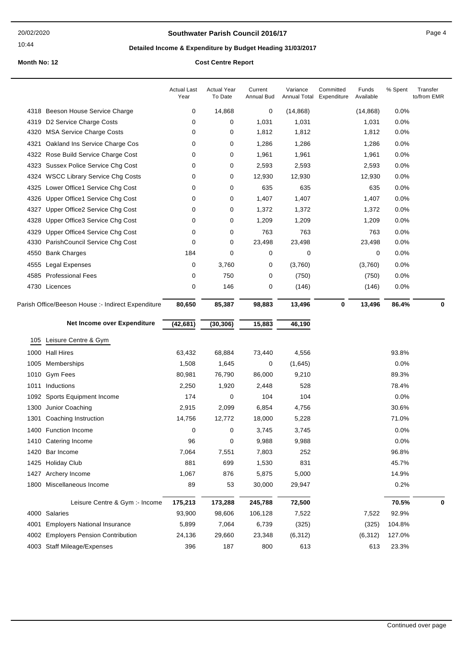### **Southwater Parish Council 2016/17** Page 4

## **Detailed Income & Expenditure by Budget Heading 31/03/2017**

|      |                                                    | <b>Actual Last</b><br>Year | <b>Actual Year</b><br>To Date | Current<br>Annual Bud | Variance<br>Annual Total | Committed<br>Expenditure | Funds<br>Available | % Spent | Transfer<br>to/from EMR |
|------|----------------------------------------------------|----------------------------|-------------------------------|-----------------------|--------------------------|--------------------------|--------------------|---------|-------------------------|
|      | 4318 Beeson House Service Charge                   | 0                          | 14,868                        | 0                     | (14, 868)                |                          | (14, 868)          | 0.0%    |                         |
| 4319 | D2 Service Charge Costs                            | 0                          | 0                             | 1,031                 | 1,031                    |                          | 1,031              | 0.0%    |                         |
| 4320 | <b>MSA Service Charge Costs</b>                    | 0                          | 0                             | 1,812                 | 1,812                    |                          | 1,812              | 0.0%    |                         |
| 4321 | Oakland Ins Service Charge Cos                     | 0                          | 0                             | 1,286                 | 1,286                    |                          | 1,286              | 0.0%    |                         |
| 4322 | Rose Build Service Charge Cost                     | 0                          | 0                             | 1,961                 | 1,961                    |                          | 1,961              | 0.0%    |                         |
| 4323 | <b>Sussex Police Service Chg Cost</b>              | 0                          | 0                             | 2,593                 | 2,593                    |                          | 2,593              | 0.0%    |                         |
| 4324 | <b>WSCC Library Service Chg Costs</b>              | 0                          | 0                             | 12,930                | 12,930                   |                          | 12,930             | 0.0%    |                         |
| 4325 | Lower Office1 Service Chg Cost                     | 0                          | 0                             | 635                   | 635                      |                          | 635                | 0.0%    |                         |
| 4326 | Upper Office1 Service Chg Cost                     | 0                          | 0                             | 1,407                 | 1,407                    |                          | 1,407              | 0.0%    |                         |
| 4327 | Upper Office2 Service Chg Cost                     | 0                          | 0                             | 1,372                 | 1,372                    |                          | 1,372              | 0.0%    |                         |
| 4328 | Upper Office3 Service Chg Cost                     | 0                          | 0                             | 1,209                 | 1,209                    |                          | 1,209              | 0.0%    |                         |
| 4329 | Upper Office4 Service Chg Cost                     | 0                          | 0                             | 763                   | 763                      |                          | 763                | 0.0%    |                         |
| 4330 | ParishCouncil Service Chg Cost                     | 0                          | 0                             | 23,498                | 23,498                   |                          | 23,498             | 0.0%    |                         |
| 4550 | <b>Bank Charges</b>                                | 184                        | 0                             | 0                     | 0                        |                          | 0                  | 0.0%    |                         |
| 4555 | Legal Expenses                                     | 0                          | 3,760                         | 0                     | (3,760)                  |                          | (3,760)            | 0.0%    |                         |
| 4585 | <b>Professional Fees</b>                           | 0                          | 750                           | 0                     | (750)                    |                          | (750)              | 0.0%    |                         |
|      | 4730 Licences                                      | 0                          | 146                           | 0                     | (146)                    |                          | (146)              | 0.0%    |                         |
|      | Parish Office/Beeson House :- Indirect Expenditure | 80,650                     | 85,387                        | 98,883                | 13,496                   | 0                        | 13,496             | 86.4%   | 0                       |
|      |                                                    |                            |                               |                       |                          |                          |                    |         |                         |
|      | Net Income over Expenditure                        | (42, 681)                  | (30, 306)                     | 15,883                | 46,190                   |                          |                    |         |                         |
| 105  |                                                    |                            |                               |                       |                          |                          |                    |         |                         |
| 1000 | Leisure Centre & Gym<br><b>Hall Hires</b>          |                            |                               |                       |                          |                          |                    | 93.8%   |                         |
| 1005 | Memberships                                        | 63,432<br>1,508            | 68,884<br>1,645               | 73,440<br>0           | 4,556                    |                          |                    | 0.0%    |                         |
| 1010 | <b>Gym Fees</b>                                    |                            | 76,790                        | 86,000                | (1,645)                  |                          |                    | 89.3%   |                         |
| 1011 | Inductions                                         | 80,981<br>2,250            | 1,920                         | 2,448                 | 9,210<br>528             |                          |                    | 78.4%   |                         |
| 1092 |                                                    | 174                        | 0                             | 104                   | 104                      |                          |                    | 0.0%    |                         |
| 1300 | Sports Equipment Income<br>Junior Coaching         | 2,915                      | 2,099                         | 6,854                 | 4,756                    |                          |                    | 30.6%   |                         |
| 1301 | Coaching Instruction                               | 14,756                     | 12,772                        | 18,000                | 5,228                    |                          |                    | 71.0%   |                         |
|      | 1400 Function Income                               | 0                          | 0                             | 3,745                 | 3,745                    |                          |                    | 0.0%    |                         |
|      | 1410 Catering Income                               | 96                         | 0                             | 9,988                 | 9,988                    |                          |                    | 0.0%    |                         |
| 1420 | Bar Income                                         | 7,064                      | 7,551                         | 7,803                 | 252                      |                          |                    | 96.8%   |                         |
| 1425 | <b>Holiday Club</b>                                | 881                        | 699                           | 1,530                 | 831                      |                          |                    | 45.7%   |                         |
| 1427 | Archery Income                                     | 1,067                      | 876                           | 5,875                 | 5,000                    |                          |                    | 14.9%   |                         |
| 1800 | Miscellaneous Income                               | 89                         | 53                            | 30,000                | 29,947                   |                          |                    | 0.2%    |                         |
|      | Leisure Centre & Gym :- Income                     | 175,213                    | 173,288                       | 245,788               | 72,500                   |                          |                    | 70.5%   | 0                       |
| 4000 | Salaries                                           | 93,900                     | 98,606                        | 106,128               | 7,522                    |                          | 7,522              | 92.9%   |                         |
| 4001 | <b>Employers National Insurance</b>                | 5,899                      | 7,064                         | 6,739                 | (325)                    |                          | (325)              | 104.8%  |                         |
| 4002 | <b>Employers Pension Contribution</b>              | 24,136                     | 29,660                        | 23,348                | (6, 312)                 |                          | (6, 312)           | 127.0%  |                         |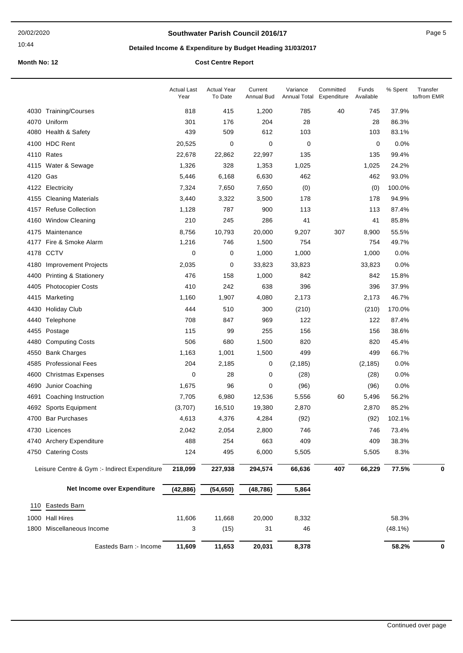### **Southwater Parish Council 2016/17** Page 5

## **Detailed Income & Expenditure by Budget Heading 31/03/2017**

|                                              | <b>Actual Last</b><br>Year | <b>Actual Year</b><br>To Date | Current<br>Annual Bud | Variance<br>Annual Total | Committed<br>Expenditure | Funds<br>Available | % Spent    | Transfer<br>to/from EMR |
|----------------------------------------------|----------------------------|-------------------------------|-----------------------|--------------------------|--------------------------|--------------------|------------|-------------------------|
| 4030 Training/Courses                        | 818                        | 415                           | 1,200                 | 785                      | 40                       | 745                | 37.9%      |                         |
| Uniform<br>4070                              | 301                        | 176                           | 204                   | 28                       |                          | 28                 | 86.3%      |                         |
| 4080 Health & Safety                         | 439                        | 509                           | 612                   | 103                      |                          | 103                | 83.1%      |                         |
| 4100 HDC Rent                                | 20,525                     | 0                             | 0                     | 0                        |                          | $\mathbf 0$        | 0.0%       |                         |
| Rates<br>4110                                | 22,678                     | 22,862                        | 22,997                | 135                      |                          | 135                | 99.4%      |                         |
| 4115 Water & Sewage                          | 1,326                      | 328                           | 1,353                 | 1,025                    |                          | 1,025              | 24.2%      |                         |
| 4120 Gas                                     | 5,446                      | 6,168                         | 6,630                 | 462                      |                          | 462                | 93.0%      |                         |
| 4122 Electricity                             | 7,324                      | 7,650                         | 7,650                 | (0)                      |                          | (0)                | 100.0%     |                         |
| 4155 Cleaning Materials                      | 3,440                      | 3,322                         | 3,500                 | 178                      |                          | 178                | 94.9%      |                         |
| <b>Refuse Collection</b><br>4157             | 1,128                      | 787                           | 900                   | 113                      |                          | 113                | 87.4%      |                         |
| 4160 Window Cleaning                         | 210                        | 245                           | 286                   | 41                       |                          | 41                 | 85.8%      |                         |
| 4175 Maintenance                             | 8,756                      | 10,793                        | 20,000                | 9,207                    | 307                      | 8,900              | 55.5%      |                         |
| 4177 Fire & Smoke Alarm                      | 1,216                      | 746                           | 1,500                 | 754                      |                          | 754                | 49.7%      |                         |
| 4178 CCTV                                    | 0                          | 0                             | 1,000                 | 1,000                    |                          | 1,000              | 0.0%       |                         |
| 4180<br><b>Improvement Projects</b>          | 2,035                      | 0                             | 33,823                | 33,823                   |                          | 33,823             | 0.0%       |                         |
| <b>Printing &amp; Stationery</b><br>4400     | 476                        | 158                           | 1,000                 | 842                      |                          | 842                | 15.8%      |                         |
| 4405<br><b>Photocopier Costs</b>             | 410                        | 242                           | 638                   | 396                      |                          | 396                | 37.9%      |                         |
| 4415 Marketing                               | 1,160                      | 1,907                         | 4,080                 | 2,173                    |                          | 2,173              | 46.7%      |                         |
| 4430<br><b>Holiday Club</b>                  | 444                        | 510                           | 300                   | (210)                    |                          | (210)              | 170.0%     |                         |
| 4440<br>Telephone                            | 708                        | 847                           | 969                   | 122                      |                          | 122                | 87.4%      |                         |
| 4455<br>Postage                              | 115                        | 99                            | 255                   | 156                      |                          | 156                | 38.6%      |                         |
| 4480<br><b>Computing Costs</b>               | 506                        | 680                           | 1,500                 | 820                      |                          | 820                | 45.4%      |                         |
| <b>Bank Charges</b><br>4550                  | 1,163                      | 1,001                         | 1,500                 | 499                      |                          | 499                | 66.7%      |                         |
| 4585<br><b>Professional Fees</b>             | 204                        | 2,185                         | 0                     | (2, 185)                 |                          | (2, 185)           | 0.0%       |                         |
| 4600<br><b>Christmas Expenses</b>            | 0                          | 28                            | 0                     | (28)                     |                          | (28)               | 0.0%       |                         |
| Junior Coaching<br>4690                      | 1,675                      | 96                            | 0                     | (96)                     |                          | (96)               | 0.0%       |                         |
| 4691<br>Coaching Instruction                 | 7,705                      | 6,980                         | 12,536                | 5,556                    | 60                       | 5,496              | 56.2%      |                         |
| 4692 Sports Equipment                        | (3,707)                    | 16,510                        | 19,380                | 2,870                    |                          | 2,870              | 85.2%      |                         |
| 4700 Bar Purchases                           | 4,613                      | 4,376                         | 4,284                 | (92)                     |                          | (92)               | 102.1%     |                         |
| 4730 Licences                                | 2.042                      | 2,054                         | 2,800                 | 746                      |                          | 746                | 73.4%      |                         |
| 4740 Archery Expenditure                     | 488                        | 254                           | 663                   | 409                      |                          | 409                | 38.3%      |                         |
| 4750 Catering Costs                          | 124                        | 495                           | 6,000                 | 5,505                    |                          | 5,505              | 8.3%       |                         |
| Leisure Centre & Gym :- Indirect Expenditure | 218,099                    | 227,938                       | 294,574               | 66,636                   | 407                      | 66,229             | 77.5%      | 0                       |
| Net Income over Expenditure                  | (42, 886)                  | (54, 650)                     | (48, 786)             | 5,864                    |                          |                    |            |                         |
| Easteds Barn<br>110                          |                            |                               |                       |                          |                          |                    |            |                         |
| 1000 Hall Hires                              | 11,606                     | 11,668                        | 20,000                | 8,332                    |                          |                    | 58.3%      |                         |
| 1800 Miscellaneous Income                    | 3                          | (15)                          | 31                    | 46                       |                          |                    | $(48.1\%)$ |                         |
|                                              |                            |                               |                       |                          |                          |                    |            |                         |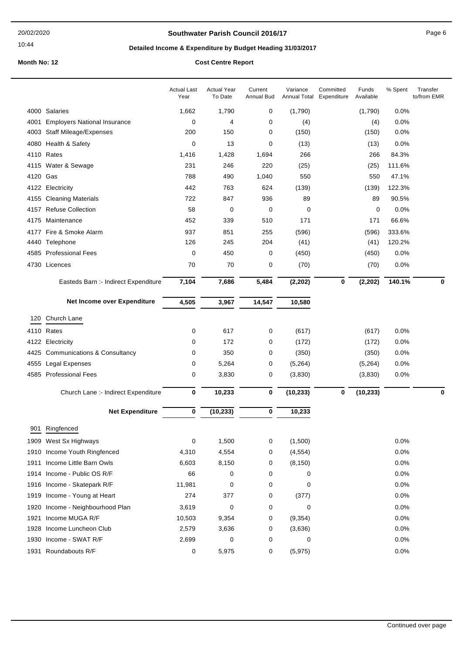### **Southwater Parish Council 2016/17** Page 6

## **Detailed Income & Expenditure by Budget Heading 31/03/2017**

|      |                                      | <b>Actual Last</b><br>Year | <b>Actual Year</b><br>To Date | Current<br>Annual Bud | Variance<br>Annual Total | Committed<br>Expenditure | Funds<br>Available | % Spent | Transfer<br>to/from EMR |
|------|--------------------------------------|----------------------------|-------------------------------|-----------------------|--------------------------|--------------------------|--------------------|---------|-------------------------|
|      | 4000 Salaries                        | 1,662                      | 1,790                         | 0                     | (1,790)                  |                          | (1,790)            | 0.0%    |                         |
| 4001 | <b>Employers National Insurance</b>  | 0                          | 4                             | 0                     | (4)                      |                          | (4)                | 0.0%    |                         |
| 4003 | <b>Staff Mileage/Expenses</b>        | 200                        | 150                           | 0                     | (150)                    |                          | (150)              | 0.0%    |                         |
| 4080 | Health & Safety                      | 0                          | 13                            | $\mathbf 0$           | (13)                     |                          | (13)               | 0.0%    |                         |
|      | 4110 Rates                           | 1,416                      | 1,428                         | 1,694                 | 266                      |                          | 266                | 84.3%   |                         |
|      | 4115 Water & Sewage                  | 231                        | 246                           | 220                   | (25)                     |                          | (25)               | 111.6%  |                         |
| 4120 | Gas                                  | 788                        | 490                           | 1,040                 | 550                      |                          | 550                | 47.1%   |                         |
|      | 4122 Electricity                     | 442                        | 763                           | 624                   | (139)                    |                          | (139)              | 122.3%  |                         |
|      | 4155 Cleaning Materials              | 722                        | 847                           | 936                   | 89                       |                          | 89                 | 90.5%   |                         |
|      | 4157 Refuse Collection               | 58                         | 0                             | 0                     | 0                        |                          | 0                  | 0.0%    |                         |
|      | 4175 Maintenance                     | 452                        | 339                           | 510                   | 171                      |                          | 171                | 66.6%   |                         |
| 4177 | Fire & Smoke Alarm                   | 937                        | 851                           | 255                   | (596)                    |                          | (596)              | 333.6%  |                         |
|      | 4440 Telephone                       | 126                        | 245                           | 204                   | (41)                     |                          | (41)               | 120.2%  |                         |
|      | 4585 Professional Fees               | 0                          | 450                           | 0                     | (450)                    |                          | (450)              | 0.0%    |                         |
|      | 4730 Licences                        | 70                         | 70                            | 0                     | (70)                     |                          | (70)               | 0.0%    |                         |
|      | Easteds Barn :- Indirect Expenditure | 7,104                      | 7,686                         | 5,484                 | (2, 202)                 | $\bf{0}$                 | (2, 202)           | 140.1%  | 0                       |
|      | Net Income over Expenditure          | 4,505                      | 3,967                         | 14,547                | 10,580                   |                          |                    |         |                         |
| 120  | Church Lane                          |                            |                               |                       |                          |                          |                    |         |                         |
|      | 4110 Rates                           | 0                          | 617                           | 0                     | (617)                    |                          | (617)              | 0.0%    |                         |
|      | 4122 Electricity                     | 0                          | 172                           | 0                     | (172)                    |                          | (172)              | 0.0%    |                         |
|      | 4425 Communications & Consultancy    | 0                          | 350                           | 0                     | (350)                    |                          | (350)              | 0.0%    |                         |
| 4555 | Legal Expenses                       | 0                          | 5,264                         | 0                     | (5,264)                  |                          | (5,264)            | 0.0%    |                         |
|      | 4585 Professional Fees               | 0                          | 3,830                         | 0                     | (3,830)                  |                          | (3,830)            | 0.0%    |                         |
|      | Church Lane :- Indirect Expenditure  | 0                          | 10,233                        | $\bf{0}$              | (10, 233)                | $\bf{0}$                 | (10, 233)          |         | 0                       |
|      | <b>Net Expenditure</b>               | $\bf{0}$                   | (10, 233)                     | 0                     | 10,233                   |                          |                    |         |                         |
|      |                                      |                            |                               |                       |                          |                          |                    |         |                         |
|      | 901 Ringfenced                       |                            |                               |                       |                          |                          |                    |         |                         |
|      | 1909 West Sx Highways                | 0                          | 1,500                         | 0                     | (1,500)                  |                          |                    | 0.0%    |                         |
|      | 1910 Income Youth Ringfenced         | 4,310                      | 4,554                         | 0                     | (4, 554)                 |                          |                    | 0.0%    |                         |
| 1911 | Income Little Barn Owls              | 6,603                      | 8,150                         | 0                     | (8, 150)                 |                          |                    | 0.0%    |                         |
|      | 1914 Income - Public OS R/F          | 66                         | 0                             | 0                     | 0                        |                          |                    | 0.0%    |                         |
|      | 1916 Income - Skatepark R/F          | 11,981                     | 0                             | 0                     | 0                        |                          |                    | 0.0%    |                         |
|      | 1919 Income - Young at Heart         | 274                        | 377                           | 0                     | (377)                    |                          |                    | 0.0%    |                         |
| 1920 | Income - Neighbourhood Plan          | 3,619                      | 0                             | 0                     | 0                        |                          |                    | 0.0%    |                         |
| 1921 | Income MUGA R/F                      | 10,503                     | 9,354                         | 0                     | (9, 354)                 |                          |                    | 0.0%    |                         |
|      | 1928 Income Luncheon Club            | 2,579                      | 3,636                         | 0                     | (3,636)                  |                          |                    | 0.0%    |                         |
|      | 1930 Income - SWAT R/F               | 2,699                      | 0                             | 0                     | 0                        |                          |                    | 0.0%    |                         |
|      | 1931 Roundabouts R/F                 | 0                          | 5,975                         | 0                     | (5,975)                  |                          |                    | 0.0%    |                         |